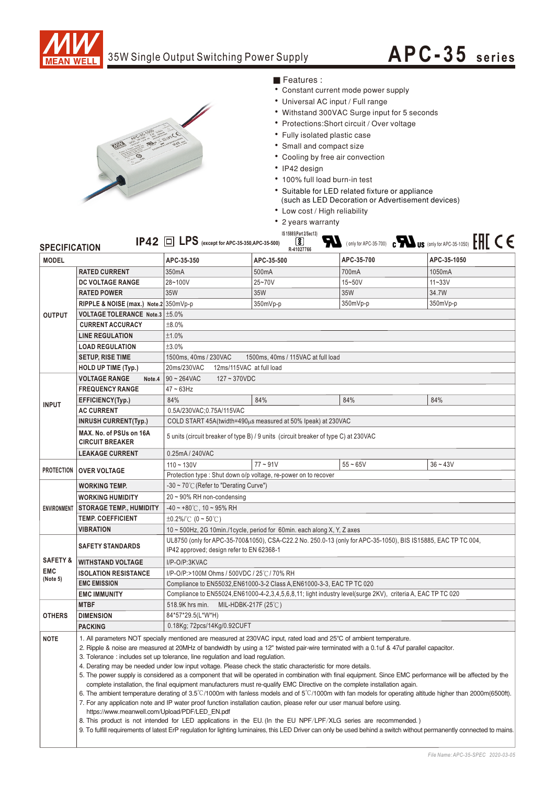

## 35W Single Output Switching Power Supply

# **APC-35 seri <sup>e</sup> <sup>s</sup>**



### Features :

- Constant current mode power supply
- Universal AC input / Full range
- Withstand 300VAC Surge input for 5 seconds
- Protections: Short circuit / Over voltage
- Fully isolated plastic case
- Small and compact size
- Cooling by free air convection
- IP42 design
- 100% full load burn-in test
- Suitable for LED related fixture or appliance
	- (such as LED Decoration or Advertisement devices)
- Low cost / High reliability
- 2 years warranty **IS 15885(Part 2/Sec13)**

#### FL (only for APC-35-700) c FL US (only for APC-35-1050) EHE CE IP42 **LPS (except for APC-35-350,APC-35-500)** ل<u>کا</u><br>R-41027766

| <b>MODEL</b>        |                                                                                                                                                                                                                                                                                                                                                                                                                                                                                                                                                                                                                                                                                                                                                                                                                                                                                                                                                                                                                                                                                                                                                                                                                                                                                                                                                                                                                       | APC-35-350                                                                                                        | APC-35-500 | APC-35-700 | APC-35-1050 |
|---------------------|-----------------------------------------------------------------------------------------------------------------------------------------------------------------------------------------------------------------------------------------------------------------------------------------------------------------------------------------------------------------------------------------------------------------------------------------------------------------------------------------------------------------------------------------------------------------------------------------------------------------------------------------------------------------------------------------------------------------------------------------------------------------------------------------------------------------------------------------------------------------------------------------------------------------------------------------------------------------------------------------------------------------------------------------------------------------------------------------------------------------------------------------------------------------------------------------------------------------------------------------------------------------------------------------------------------------------------------------------------------------------------------------------------------------------|-------------------------------------------------------------------------------------------------------------------|------------|------------|-------------|
|                     |                                                                                                                                                                                                                                                                                                                                                                                                                                                                                                                                                                                                                                                                                                                                                                                                                                                                                                                                                                                                                                                                                                                                                                                                                                                                                                                                                                                                                       |                                                                                                                   |            |            |             |
| <b>OUTPUT</b>       | <b>RATED CURRENT</b>                                                                                                                                                                                                                                                                                                                                                                                                                                                                                                                                                                                                                                                                                                                                                                                                                                                                                                                                                                                                                                                                                                                                                                                                                                                                                                                                                                                                  | 350mA                                                                                                             | 500mA      | 700mA      | 1050mA      |
|                     | DC VOLTAGE RANGE                                                                                                                                                                                                                                                                                                                                                                                                                                                                                                                                                                                                                                                                                                                                                                                                                                                                                                                                                                                                                                                                                                                                                                                                                                                                                                                                                                                                      | 28~100V                                                                                                           | 25~70V     | 15~50V     | $11 - 33V$  |
|                     | <b>RATED POWER</b>                                                                                                                                                                                                                                                                                                                                                                                                                                                                                                                                                                                                                                                                                                                                                                                                                                                                                                                                                                                                                                                                                                                                                                                                                                                                                                                                                                                                    | 35W                                                                                                               | 35W        | 35W        | 34.7W       |
|                     | RIPPLE & NOISE (max.) Note.2 350mVp-p                                                                                                                                                                                                                                                                                                                                                                                                                                                                                                                                                                                                                                                                                                                                                                                                                                                                                                                                                                                                                                                                                                                                                                                                                                                                                                                                                                                 |                                                                                                                   | 350mVp-p   | 350mVp-p   | 350mVp-p    |
|                     | VOLTAGE TOLERANCE Note.3   ±5.0%                                                                                                                                                                                                                                                                                                                                                                                                                                                                                                                                                                                                                                                                                                                                                                                                                                                                                                                                                                                                                                                                                                                                                                                                                                                                                                                                                                                      |                                                                                                                   |            |            |             |
|                     | <b>CURRENT ACCURACY</b>                                                                                                                                                                                                                                                                                                                                                                                                                                                                                                                                                                                                                                                                                                                                                                                                                                                                                                                                                                                                                                                                                                                                                                                                                                                                                                                                                                                               | ±8.0%                                                                                                             |            |            |             |
|                     | <b>LINE REGULATION</b>                                                                                                                                                                                                                                                                                                                                                                                                                                                                                                                                                                                                                                                                                                                                                                                                                                                                                                                                                                                                                                                                                                                                                                                                                                                                                                                                                                                                | ±1.0%                                                                                                             |            |            |             |
|                     | <b>LOAD REGULATION</b>                                                                                                                                                                                                                                                                                                                                                                                                                                                                                                                                                                                                                                                                                                                                                                                                                                                                                                                                                                                                                                                                                                                                                                                                                                                                                                                                                                                                | ±3.0%                                                                                                             |            |            |             |
|                     | <b>SETUP, RISE TIME</b>                                                                                                                                                                                                                                                                                                                                                                                                                                                                                                                                                                                                                                                                                                                                                                                                                                                                                                                                                                                                                                                                                                                                                                                                                                                                                                                                                                                               | 1500ms, 40ms / 230VAC<br>1500ms, 40ms / 115VAC at full load                                                       |            |            |             |
|                     | <b>HOLD UP TIME (Typ.)</b>                                                                                                                                                                                                                                                                                                                                                                                                                                                                                                                                                                                                                                                                                                                                                                                                                                                                                                                                                                                                                                                                                                                                                                                                                                                                                                                                                                                            | 12ms/115VAC at full load<br>20ms/230VAC                                                                           |            |            |             |
| <b>INPUT</b>        | <b>VOLTAGE RANGE</b><br>Note.4                                                                                                                                                                                                                                                                                                                                                                                                                                                                                                                                                                                                                                                                                                                                                                                                                                                                                                                                                                                                                                                                                                                                                                                                                                                                                                                                                                                        | $90 - 264$ VAC<br>$127 - 370VDC$                                                                                  |            |            |             |
|                     | <b>FREQUENCY RANGE</b>                                                                                                                                                                                                                                                                                                                                                                                                                                                                                                                                                                                                                                                                                                                                                                                                                                                                                                                                                                                                                                                                                                                                                                                                                                                                                                                                                                                                | $47 \sim 63$ Hz                                                                                                   |            |            |             |
|                     | EFFICIENCY(Typ.)                                                                                                                                                                                                                                                                                                                                                                                                                                                                                                                                                                                                                                                                                                                                                                                                                                                                                                                                                                                                                                                                                                                                                                                                                                                                                                                                                                                                      | 84%                                                                                                               | 84%        | 84%        | 84%         |
|                     | <b>AC CURRENT</b>                                                                                                                                                                                                                                                                                                                                                                                                                                                                                                                                                                                                                                                                                                                                                                                                                                                                                                                                                                                                                                                                                                                                                                                                                                                                                                                                                                                                     | 0.5A/230VAC;0.75A/115VAC                                                                                          |            |            |             |
|                     | <b>INRUSH CURRENT(Typ.)</b>                                                                                                                                                                                                                                                                                                                                                                                                                                                                                                                                                                                                                                                                                                                                                                                                                                                                                                                                                                                                                                                                                                                                                                                                                                                                                                                                                                                           | COLD START 45A (twidth=490us measured at 50% Ipeak) at 230VAC                                                     |            |            |             |
|                     | MAX. No. of PSUs on 16A<br><b>CIRCUIT BREAKER</b>                                                                                                                                                                                                                                                                                                                                                                                                                                                                                                                                                                                                                                                                                                                                                                                                                                                                                                                                                                                                                                                                                                                                                                                                                                                                                                                                                                     | 5 units (circuit breaker of type B) / 9 units (circuit breaker of type C) at 230VAC                               |            |            |             |
|                     | <b>LEAKAGE CURRENT</b>                                                                                                                                                                                                                                                                                                                                                                                                                                                                                                                                                                                                                                                                                                                                                                                                                                                                                                                                                                                                                                                                                                                                                                                                                                                                                                                                                                                                | 0.25mA / 240VAC                                                                                                   |            |            |             |
| PROTECTION          | <b>OVER VOLTAGE</b>                                                                                                                                                                                                                                                                                                                                                                                                                                                                                                                                                                                                                                                                                                                                                                                                                                                                                                                                                                                                                                                                                                                                                                                                                                                                                                                                                                                                   | $110 - 130V$                                                                                                      | $77 - 91V$ | $55 - 65V$ | $36 - 43V$  |
|                     |                                                                                                                                                                                                                                                                                                                                                                                                                                                                                                                                                                                                                                                                                                                                                                                                                                                                                                                                                                                                                                                                                                                                                                                                                                                                                                                                                                                                                       | Protection type : Shut down o/p voltage, re-power on to recover                                                   |            |            |             |
| <b>ENVIRONMENT</b>  | <b>WORKING TEMP.</b>                                                                                                                                                                                                                                                                                                                                                                                                                                                                                                                                                                                                                                                                                                                                                                                                                                                                                                                                                                                                                                                                                                                                                                                                                                                                                                                                                                                                  | $-30 \sim 70^{\circ}$ (Refer to "Derating Curve")                                                                 |            |            |             |
|                     | <b>WORKING HUMIDITY</b>                                                                                                                                                                                                                                                                                                                                                                                                                                                                                                                                                                                                                                                                                                                                                                                                                                                                                                                                                                                                                                                                                                                                                                                                                                                                                                                                                                                               | 20 ~ 90% RH non-condensing                                                                                        |            |            |             |
|                     | <b>STORAGE TEMP., HUMIDITY</b>                                                                                                                                                                                                                                                                                                                                                                                                                                                                                                                                                                                                                                                                                                                                                                                                                                                                                                                                                                                                                                                                                                                                                                                                                                                                                                                                                                                        | $-40 \sim +80^{\circ}$ C, 10 ~ 95% RH                                                                             |            |            |             |
|                     | <b>TEMP. COEFFICIENT</b>                                                                                                                                                                                                                                                                                                                                                                                                                                                                                                                                                                                                                                                                                                                                                                                                                                                                                                                                                                                                                                                                                                                                                                                                                                                                                                                                                                                              | $\pm 0.2\%$ /°C (0 ~ 50°C)                                                                                        |            |            |             |
|                     | <b>VIBRATION</b>                                                                                                                                                                                                                                                                                                                                                                                                                                                                                                                                                                                                                                                                                                                                                                                                                                                                                                                                                                                                                                                                                                                                                                                                                                                                                                                                                                                                      | 10 ~ 500Hz, 2G 10min./1cycle, period for 60min. each along X, Y, Z axes                                           |            |            |             |
|                     | <b>SAFETY STANDARDS</b>                                                                                                                                                                                                                                                                                                                                                                                                                                                                                                                                                                                                                                                                                                                                                                                                                                                                                                                                                                                                                                                                                                                                                                                                                                                                                                                                                                                               | UL8750 (only for APC-35-700&1050), CSA-C22.2 No. 250.0-13 (only for APC-35-1050), BIS IS15885, EAC TP TC 004,     |            |            |             |
| <b>SAFETY &amp;</b> |                                                                                                                                                                                                                                                                                                                                                                                                                                                                                                                                                                                                                                                                                                                                                                                                                                                                                                                                                                                                                                                                                                                                                                                                                                                                                                                                                                                                                       | IP42 approved; design refer to EN 62368-1                                                                         |            |            |             |
| <b>EMC</b>          | <b>WITHSTAND VOLTAGE</b>                                                                                                                                                                                                                                                                                                                                                                                                                                                                                                                                                                                                                                                                                                                                                                                                                                                                                                                                                                                                                                                                                                                                                                                                                                                                                                                                                                                              | I/P-O/P:3KVAC                                                                                                     |            |            |             |
| (Note 5)            | <b>ISOLATION RESISTANCE</b>                                                                                                                                                                                                                                                                                                                                                                                                                                                                                                                                                                                                                                                                                                                                                                                                                                                                                                                                                                                                                                                                                                                                                                                                                                                                                                                                                                                           | I/P-O/P:>100M Ohms / 500VDC / 25℃/ 70% RH                                                                         |            |            |             |
|                     | <b>EMC EMISSION</b>                                                                                                                                                                                                                                                                                                                                                                                                                                                                                                                                                                                                                                                                                                                                                                                                                                                                                                                                                                                                                                                                                                                                                                                                                                                                                                                                                                                                   | Compliance to EN55032, EN61000-3-2 Class A, EN61000-3-3, EAC TP TC 020                                            |            |            |             |
|                     | <b>EMC IMMUNITY</b>                                                                                                                                                                                                                                                                                                                                                                                                                                                                                                                                                                                                                                                                                                                                                                                                                                                                                                                                                                                                                                                                                                                                                                                                                                                                                                                                                                                                   | Compliance to EN55024, EN61000-4-2, 3, 4, 5, 6, 8, 11; light industry level(surge 2KV), criteria A, EAC TP TC 020 |            |            |             |
| <b>OTHERS</b>       | <b>MTBF</b>                                                                                                                                                                                                                                                                                                                                                                                                                                                                                                                                                                                                                                                                                                                                                                                                                                                                                                                                                                                                                                                                                                                                                                                                                                                                                                                                                                                                           | 518.9K hrs min.<br>MIL-HDBK-217F (25 $°C$ )                                                                       |            |            |             |
|                     | <b>DIMENSION</b>                                                                                                                                                                                                                                                                                                                                                                                                                                                                                                                                                                                                                                                                                                                                                                                                                                                                                                                                                                                                                                                                                                                                                                                                                                                                                                                                                                                                      | 84*57*29.5(L*W*H)                                                                                                 |            |            |             |
|                     | <b>PACKING</b>                                                                                                                                                                                                                                                                                                                                                                                                                                                                                                                                                                                                                                                                                                                                                                                                                                                                                                                                                                                                                                                                                                                                                                                                                                                                                                                                                                                                        | 0.18Kg; 72pcs/14Kg/0.92CUFT                                                                                       |            |            |             |
| <b>NOTE</b>         | 1. All parameters NOT specially mentioned are measured at 230VAC input, rated load and 25°C of ambient temperature.<br>2. Ripple & noise are measured at 20MHz of bandwidth by using a 12" twisted pair-wire terminated with a 0.1uf & 47uf parallel capacitor.<br>3. Tolerance: includes set up tolerance, line regulation and load regulation.<br>4. Derating may be needed under low input voltage. Please check the static characteristic for more details.<br>5. The power supply is considered as a component that will be operated in combination with final equipment. Since EMC performance will be affected by the<br>complete installation, the final equipment manufacturers must re-qualify EMC Directive on the complete installation again.<br>6. The ambient temperature derating of $3.5^{\circ}$ C/1000m with fanless models and of $5^{\circ}$ C/1000m with fan models for operating altitude higher than 2000m(6500ft).<br>7. For any application note and IP water proof function installation caution, please refer our user manual before using.<br>https://www.meanwell.com/Upload/PDF/LED EN.pdf<br>8. This product is not intended for LED applications in the EU. (In the EU NPF/LPF/XLG series are recommended.)<br>9. To fulfill requirements of latest ErP regulation for lighting luminaires, this LED Driver can only be used behind a switch without permanently connected to mains. |                                                                                                                   |            |            |             |